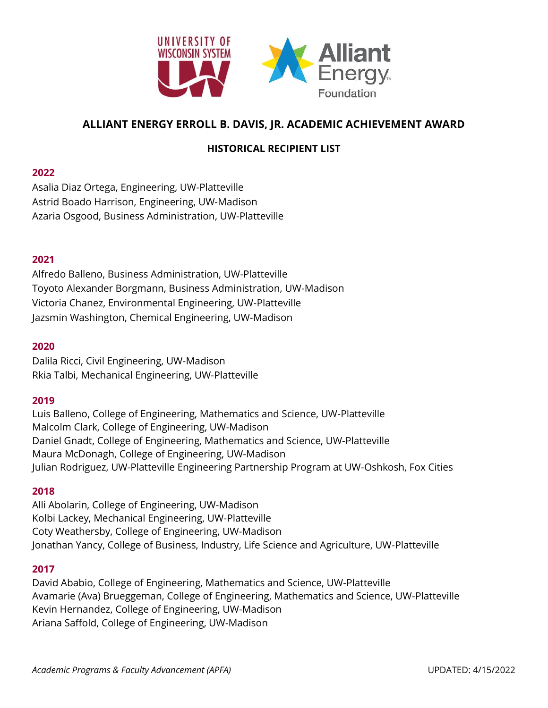

# **ALLIANT ENERGY ERROLL B. DAVIS, JR. ACADEMIC ACHIEVEMENT AWARD**

# **HISTORICAL RECIPIENT LIST**

### **2022**

Asalia Diaz Ortega, Engineering, UW-Platteville Astrid Boado Harrison, Engineering, UW-Madison Azaria Osgood, Business Administration, UW-Platteville

# **2021**

Alfredo Balleno, Business Administration, UW-Platteville Toyoto Alexander Borgmann, Business Administration, UW-Madison Victoria Chanez, Environmental Engineering, UW-Platteville Jazsmin Washington, Chemical Engineering, UW-Madison

### **2020**

Dalila Ricci, Civil Engineering, UW-Madison Rkia Talbi, Mechanical Engineering, UW-Platteville

### **2019**

Luis Balleno, College of Engineering, Mathematics and Science, UW-Platteville Malcolm Clark, College of Engineering, UW-Madison Daniel Gnadt, College of Engineering, Mathematics and Science, UW-Platteville Maura McDonagh, College of Engineering, UW-Madison Julian Rodriguez, UW-Platteville Engineering Partnership Program at UW-Oshkosh, Fox Cities

### **2018**

Alli Abolarin, College of Engineering, UW-Madison Kolbi Lackey, Mechanical Engineering, UW-Platteville Coty Weathersby, College of Engineering, UW-Madison Jonathan Yancy, College of Business, Industry, Life Science and Agriculture, UW-Platteville

# **2017**

David Ababio, College of Engineering, Mathematics and Science, UW-Platteville Avamarie (Ava) Brueggeman, College of Engineering, Mathematics and Science, UW-Platteville Kevin Hernandez, College of Engineering, UW-Madison Ariana Saffold, College of Engineering, UW-Madison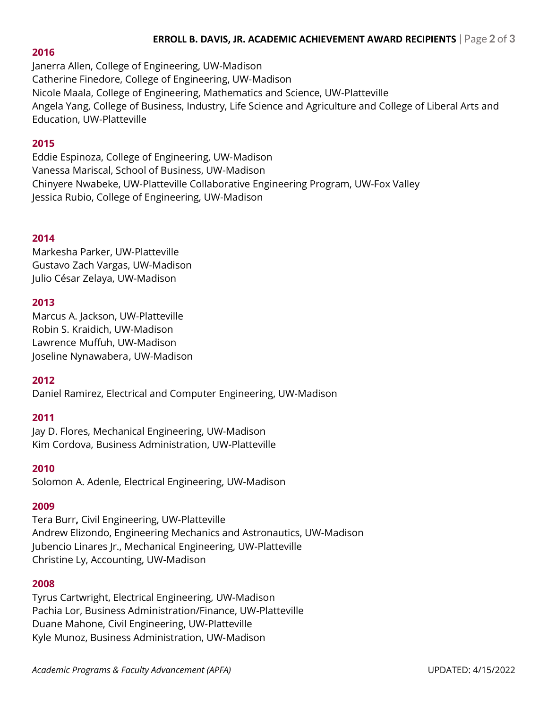# **ERROLL B. DAVIS, JR. ACADEMIC ACHIEVEMENT AWARD RECIPIENTS** | Page **2** of **3**

### **2016**

Janerra Allen, College of Engineering, UW-Madison Catherine Finedore, College of Engineering, UW-Madison Nicole Maala, College of Engineering, Mathematics and Science, UW-Platteville Angela Yang, College of Business, Industry, Life Science and Agriculture and College of Liberal Arts and Education, UW-Platteville

# **2015**

Eddie Espinoza, College of Engineering, UW-Madison Vanessa Mariscal, School of Business, UW-Madison Chinyere Nwabeke, UW-Platteville Collaborative Engineering Program, UW-Fox Valley Jessica Rubio, College of Engineering, UW-Madison

# **2014**

Markesha Parker, UW-Platteville Gustavo Zach Vargas, UW-Madison Julio César Zelaya, UW-Madison

# **2013**

Marcus A. Jackson, UW-Platteville Robin S. Kraidich, UW-Madison Lawrence Muffuh, UW-Madison Joseline Nynawabera, UW-Madison

# **2012**

Daniel Ramirez, Electrical and Computer Engineering, UW-Madison

# **2011**

Jay D. Flores, Mechanical Engineering, UW-Madison Kim Cordova, Business Administration, UW-Platteville

### **2010**

Solomon A. Adenle, Electrical Engineering, UW-Madison

### **2009**

Tera Burr**,** Civil Engineering, UW-Platteville Andrew Elizondo, Engineering Mechanics and Astronautics, UW-Madison Jubencio Linares Jr., Mechanical Engineering, UW-Platteville Christine Ly, Accounting, UW-Madison

### **2008**

Tyrus Cartwright, Electrical Engineering, UW-Madison Pachia Lor, Business Administration/Finance, UW-Platteville Duane Mahone, Civil Engineering, UW-Platteville Kyle Munoz, Business Administration, UW-Madison